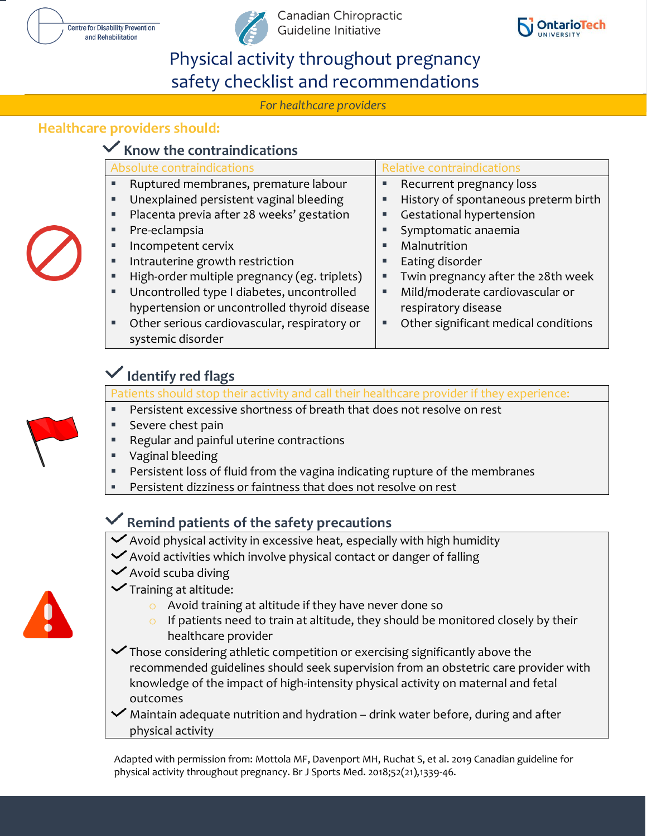





# Physical activity throughout pregnancy safety checklist and recommendations

*For healthcare providers* 

#### *For healthcare providers treating pregnant women* **Healthcare providers should:**

## **Know the contraindications**

| Absolute contraindications |                                              | Relative contraindications |                                      |
|----------------------------|----------------------------------------------|----------------------------|--------------------------------------|
|                            | Ruptured membranes, premature labour         | Ξ                          | Recurrent pregnancy loss             |
|                            | Unexplained persistent vaginal bleeding      | ш                          | History of spontaneous preterm birth |
|                            | Placenta previa after 28 weeks' gestation    | ш                          | Gestational hypertension             |
| ш                          | Pre-eclampsia                                |                            | Symptomatic anaemia                  |
| п                          | Incompetent cervix                           | п                          | Malnutrition                         |
| ٠                          | Intrauterine growth restriction              | ٠                          | Eating disorder                      |
| ٠                          | High-order multiple pregnancy (eg. triplets) | ٠                          | Twin pregnancy after the 28th week   |
| ٠                          | Uncontrolled type I diabetes, uncontrolled   | ٠                          | Mild/moderate cardiovascular or      |
|                            | hypertension or uncontrolled thyroid disease |                            | respiratory disease                  |
|                            | Other serious cardiovascular, respiratory or | ш                          | Other significant medical conditions |
|                            | systemic disorder                            |                            |                                      |

## **Identify red flags**

Patients should stop their activity and call their healthcare provider if they experience:

- Persistent excessive shortness of breath that does not resolve on rest
- Severe chest pain
- Regular and painful uterine contractions
- Vaginal bleeding
- Persistent loss of fluid from the vagina indicating rupture of the membranes
- Persistent dizziness or faintness that does not resolve on rest

### **Remind patients of the safety precautions**

- $\checkmark$  Avoid physical activity in excessive heat, especially with high humidity
- $\vee$  Avoid activities which involve physical contact or danger of falling
- $\vee$  Avoid scuba diving



- $\checkmark$  Training at altitude:
	- o Avoid training at altitude if they have never done so
	- $\circ$  If patients need to train at altitude, they should be monitored closely by their healthcare provider
- $\checkmark$  Those considering athletic competition or exercising significantly above the recommended guidelines should seek supervision from an obstetric care provider with knowledge of the impact of high-intensity physical activity on maternal and fetal outcomes
- $\blacktriangleright$  Maintain adequate nutrition and hydration drink water before, during and after physical activity

Adapted with permission from: Mottola MF, Davenport MH, Ruchat S, et al. 2019 Canadian guideline for physical activity throughout pregnancy. Br J Sports Med. 2018;52(21),1339-46.